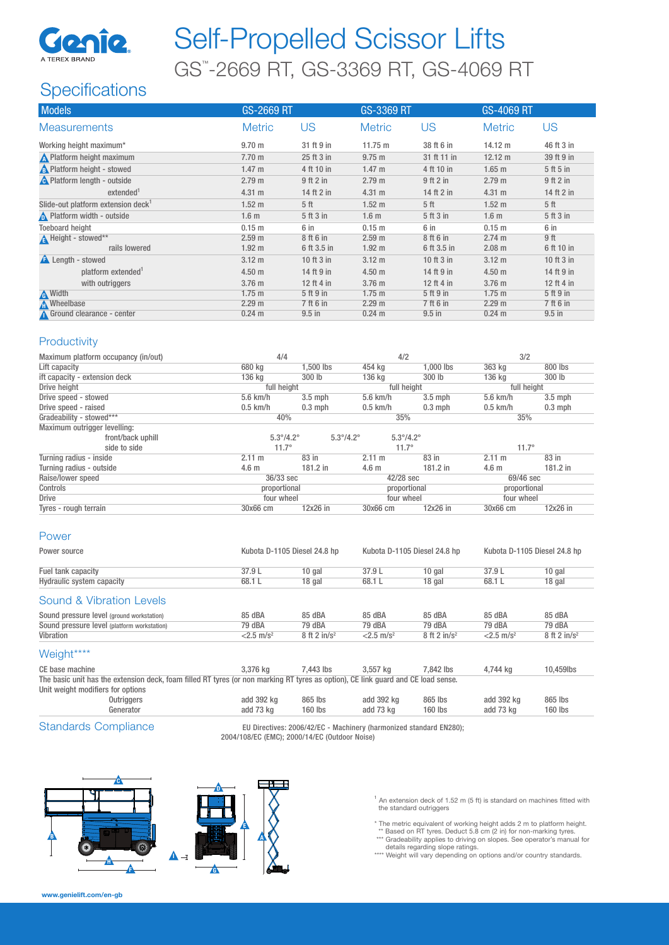

# Self-Propelled Scissor Lifts GS™ -2669 RT, GS-3369 RT, GS-4069 RT

## **Specifications**

| <b>Models</b>                                  | GS-2669 RT        |                 | GS-3369 RT        |                 | <b>GS-4069 RT</b> |                 |
|------------------------------------------------|-------------------|-----------------|-------------------|-----------------|-------------------|-----------------|
| <b>Measurements</b>                            | <b>Metric</b>     | US              | <b>Metric</b>     | US              | <b>Metric</b>     | US              |
| Working height maximum*                        | 9.70 <sub>m</sub> | 31 ft 9 in      | $11.75 \text{ m}$ | 38 ft 6 in      | 14.12 m           | 46 ft 3 in      |
| Platform height maximum                        | 7.70 m            | 25 ft 3 in      | 9.75 m            | 31 ft 11 in     | 12.12 m           | 39 ft 9 in      |
| <b>A</b> Platform height - stowed              | 1.47 m            | 4 ft 10 in      | 1.47 m            | 4 ft 10 in      | $1.65$ m          | 5 ft 5 in       |
| <b>A</b> Platform length - outside             | 2.79 <sub>m</sub> | $9$ ft $2$ in   | 2.79 m            | 9 ft 2 in       | 2.79 <sub>m</sub> | $9$ ft $2$ in   |
| extended <sup>1</sup>                          | 4.31 m            | 14 ft 2 in      | 4.31 m            | 14 ft 2 in      | 4.31 m            | 14 ft 2 in      |
| Slide-out platform extension deck <sup>1</sup> | 1.52 <sub>m</sub> | 5 <sup>th</sup> | $1.52 \text{ m}$  | 5 <sup>th</sup> | 1.52 <sub>m</sub> | 5 <sup>th</sup> |
| Platform width - outside                       | 1.6 <sub>m</sub>  | 5 ft 3 in       | 1.6 <sub>m</sub>  | 5 ft 3 in       | 1.6 <sub>m</sub>  | 5 ft 3 in       |
| <b>Toeboard height</b>                         | $0.15$ m          | 6 in            | 0.15 m            | 6 in            | 0.15 <sub>m</sub> | 6 in            |
| Height - stowed**                              | 2.59 <sub>m</sub> | 8 ft 6 in       | 2.59 <sub>m</sub> | 8 ft 6 in       | 2.74 m            | 9 ft            |
| rails lowered                                  | 1.92 <sub>m</sub> | 6 ft 3.5 in     | 1.92 <sub>m</sub> | 6 ft 3.5 in     | $2.08$ m          | 6 ft 10 in      |
| <b>A</b> Length - stowed                       | $3.12 \text{ m}$  | 10 ft 3 in      | $3.12 \text{ m}$  | 10 ft 3 in      | $3.12 \text{ m}$  | 10 ft 3 in      |
| platform extended <sup>1</sup>                 | 4.50 <sub>m</sub> | 14 ft 9 in      | 4.50 <sub>m</sub> | 14 ft 9 in      | 4.50 <sub>m</sub> | 14 ft 9 in      |
| with outriggers                                | 3.76 m            | 12 ft 4 in      | $3.76$ m          | 12 ft 4 in      | 3.76 m            | 12 ft 4 in      |
| <b>A</b> Width                                 | $1.75$ m          | 5 ft 9 in       | $1.75$ m          | 5 ft 9 in       | $1.75$ m          | 5 ft 9 in       |
| <b>A</b> Wheelbase                             | 2.29 <sub>m</sub> | 7 ft 6 in       | 2.29 m            | 7 ft 6 in       | 2.29 <sub>m</sub> | 7 ft 6 in       |
| Ground clearance - center                      | $0.24$ m          | $9.5$ in        | $0.24 \text{ m}$  | $9.5$ in        | $0.24$ m          | $9.5$ in        |

### **Productivity**

| Maximum platform occupancy (in/out) | 4/4                       |                           | 4/2                       |            | 3/2              |           |
|-------------------------------------|---------------------------|---------------------------|---------------------------|------------|------------------|-----------|
| Lift capacity                       | 680 kg                    | 1.500 lbs                 | 454 kg                    | 1.000 lbs  | 363 kg           | 800 lbs   |
| ift capacity - extension deck       | 136 kg                    | 300 lb                    | 136 kg                    | 300 lb     | 136 kg           | 300 lb    |
| Drive height                        | full height               |                           | full height               |            | full height      |           |
| Drive speed - stowed                | $5.6$ km/h                | $3.5$ mph                 | $5.6$ km/h                | $3.5$ mph  | $5.6$ km/h       | $3.5$ mph |
| Drive speed - raised                | $0.5$ km/h                | $0.3$ mph                 | $0.5$ km/h                | $0.3$ mph  | $0.5$ km/h       | $0.3$ mph |
| Gradeability - stowed***            | 40%                       |                           | 35%                       |            | 35%              |           |
| Maximum outrigger levelling:        |                           |                           |                           |            |                  |           |
| front/back uphill                   | $5.3^{\circ}/4.2^{\circ}$ | $5.3^{\circ}/4.2^{\circ}$ | $5.3^{\circ}/4.2^{\circ}$ |            |                  |           |
| side to side                        | $11.7^{\circ}$            |                           | $11.7^\circ$              |            | $11.7^{\circ}$   |           |
| Turning radius - inside             | $2.11 \text{ m}$          | 83 in                     | 2.11 m                    | 83 in      | $2.11 \text{ m}$ | 83 in     |
| Turning radius - outside            | 4.6 <sub>m</sub>          | $181.2$ in                | 4.6 <sub>m</sub>          | 181.2 in   | 4.6 <sub>m</sub> | 181.2 in  |
| Raise/lower speed                   | 36/33 sec                 |                           | 42/28 sec                 |            | 69/46 sec        |           |
| Controls                            | proportional              |                           | proportional              |            | proportional     |           |
| <b>Drive</b>                        | four wheel                |                           | four wheel                |            | four wheel       |           |
| Tyres - rough terrain               | 30x66 cm                  | 12x26 in                  | 30x66 cm                  | $12x26$ in | 30x66 cm         | 12x26 in  |

#### Power

| Power source                                | Kubota D-1105 Diesel 24.8 hp<br>Kubota D-1105 Diesel 24.8 hp |                            | Kubota D-1105 Diesel 24.8 hp |                            |                          |                            |
|---------------------------------------------|--------------------------------------------------------------|----------------------------|------------------------------|----------------------------|--------------------------|----------------------------|
| Fuel tank capacity                          | 37.9 L                                                       | 10 gal                     | 37.9 L                       | $10$ gal                   | 37.9L                    | $10$ gal                   |
| Hydraulic system capacity                   | 68.1 L                                                       | 18 gal                     | 68.1 L                       | 18 gal                     | 68.1L                    | 18 gal                     |
| Sound & Vibration Levels                    |                                                              |                            |                              |                            |                          |                            |
| Sound pressure level (ground workstation)   | 85 dBA                                                       | 85 dBA                     | 85 dBA                       | 85 dBA                     | 85 dBA                   | 85 dBA                     |
| Sound pressure level (platform workstation) | 79 dBA                                                       | 79 dBA                     | 79 dBA                       | 79 dBA                     | 79 dBA                   | 79 dBA                     |
| Vibration                                   | $<$ 2.5 m/s <sup>2</sup>                                     | $8$ ft 2 in/s <sup>2</sup> | $<$ 2.5 m/s <sup>2</sup>     | $8$ ft 2 in/s <sup>2</sup> | $<$ 2.5 m/s <sup>2</sup> | $8$ ft 2 in/s <sup>2</sup> |
| Weight****                                  |                                                              |                            |                              |                            |                          |                            |
| CE hono moobing                             | $227C$ $ka$                                                  | $7.449$ lbs.               | $2.557$ $ka$                 | $7.049$ lhe                | $A$ $744$ $ka$           | $10.450$ lbo               |

CE base machine 3,376 kg 7,443 lbs 3,557 kg 7,842 lbs 4,744 kg 10,459lbs The basic unit has the extension deck, foam filled RT tyres (or non marking RT tyres as option), CE link guard and CE load sense.

| Unit weight modifiers for options |            |            |         |            |         |            |         |
|-----------------------------------|------------|------------|---------|------------|---------|------------|---------|
|                                   | Outriggers | add 392 kg | 865 lbs | add 392 kg | 865 lbs | add 392 kg | 865 lbs |
|                                   | Generator  | add 73 kg  | 160 lbs | add 73 kg  | 160 lbs | add 73 kg  | 160 lbs |
|                                   |            |            |         |            |         |            |         |

Standards Compliance EU Directives: 2006/42/EC - Machinery (harmonized standard EN280); 2004/108/EC (EMC); 2000/14/EC (Outdoor Noise)



- $1$  An extension deck of 1.52 m (5 ft) is standard on machines fitted with the standard outriggers
- \* The metric equivalent of working height adds 2 m to platform height. \*\* Based on RT tyres. Deduct 5.8 cm (2 in) for non-marking tyres.
- 

\*\*\* Gradeability applies to driving on slopes. See operator's manual for<br>details regarding slope ratings.<br>\*\*\*\* Weight will vary depending on options and/or country standards.